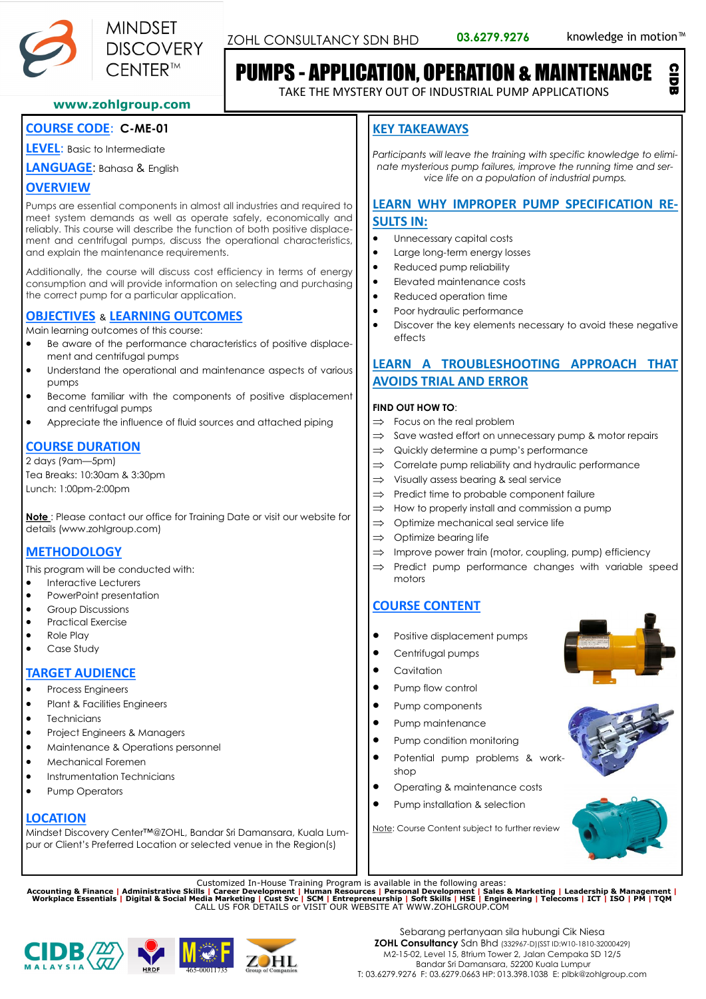

CIDB



# PUMPS - APPLICATION, OPERATION & MAINTENANCE

TAKE THE MYSTERY OUT OF INDUSTRIAL PUMP APPLICATIONS

## **www.zohlgroup.com**

# **COURSE CODE**: **C-ME-01**

**LEVEL**: Basic to Intermediate

**LANGUAGE**: Bahasa & English

# **OVERVIEW**

Pumps are essential components in almost all industries and required to meet system demands as well as operate safely, economically and reliably. This course will describe the function of both positive displacement and centrifugal pumps, discuss the operational characteristics, and explain the maintenance requirements.

Additionally, the course will discuss cost efficiency in terms of energy consumption and will provide information on selecting and purchasing the correct pump for a particular application.

# **OBJECTIVES** & **LEARNING OUTCOMES**

Main learning outcomes of this course:

- Be aware of the performance characteristics of positive displacement and centrifugal pumps
- Understand the operational and maintenance aspects of various pumps
- Become familiar with the components of positive displacement and centrifugal pumps
- Appreciate the influence of fluid sources and attached piping

# **COURSE DURATION**

2 days (9am—5pm) Tea Breaks: 10:30am & 3:30pm Lunch: 1:00pm-2:00pm

**Note** : Please contact our office for Training Date or visit our website for details (www.zohlgroup.com)

# **METHODOLOGY**

This program will be conducted with:

- Interactive Lecturers
- PowerPoint presentation
- Group Discussions
- Practical Exercise
- Role Play
- Case Study

## **TARGET AUDIENCE**

- Process Engineers
- Plant & Facilities Engineers
- **Technicians**
- Project Engineers & Managers
- Maintenance & Operations personnel
- Mechanical Foremen
- Instrumentation Technicians
- Pump Operators

## **LOCATION**

Mindset Discovery Center™@ZOHL, Bandar Sri Damansara, Kuala Lumpur or Client's Preferred Location or selected venue in the Region(s)

# **KEY TAKEAWAYS**

*Participants will leave the training with specific knowledge to eliminate mysterious pump failures, improve the running time and service life on a population of industrial pumps.*

# **LEARN WHY IMPROPER PUMP SPECIFICATION RE-SULTS IN:**

- Unnecessary capital costs
- Large long-term energy losses
- Reduced pump reliability
- Elevated maintenance costs
- Reduced operation time
- Poor hydraulic performance
- Discover the key elements necessary to avoid these negative effects

# **LEARN A TROUBLESHOOTING APPROACH THAT AVOIDS TRIAL AND ERROR**

### **FIND OUT HOW TO**:

- $\Rightarrow$  Focus on the real problem
- $\Rightarrow$  Save wasted effort on unnecessary pump & motor repairs
- $\Rightarrow$  Quickly determine a pump's performance
- $\implies$  Correlate pump reliability and hydraulic performance
- $\implies$  Visually assess bearing & seal service
- $\Rightarrow$  Predict time to probable component failure
- $\Rightarrow$  How to properly install and commission a pump
- $\Rightarrow$  Optimize mechanical seal service life
- $\implies$  Optimize bearing life
- $\implies$  Improve power train (motor, coupling, pump) efficiency
- Predict pump performance changes with variable speed motors

# **COURSE CONTENT**

- Positive displacement pumps
- Centrifugal pumps
- Cavitation
- Pump flow control
- Pump components
- Pump maintenance
- Pump condition monitoring
- Potential pump problems & workshop
- Operating & maintenance costs
- Pump installation & selection

Note: Course Content subject to further review



Customized In-House Training Program is available in the following areas:<br>Accounting & Finance | Administrative Skills | Career Development | Human Resources | Personal Development | Sales & Marketing | Leadership & Manage